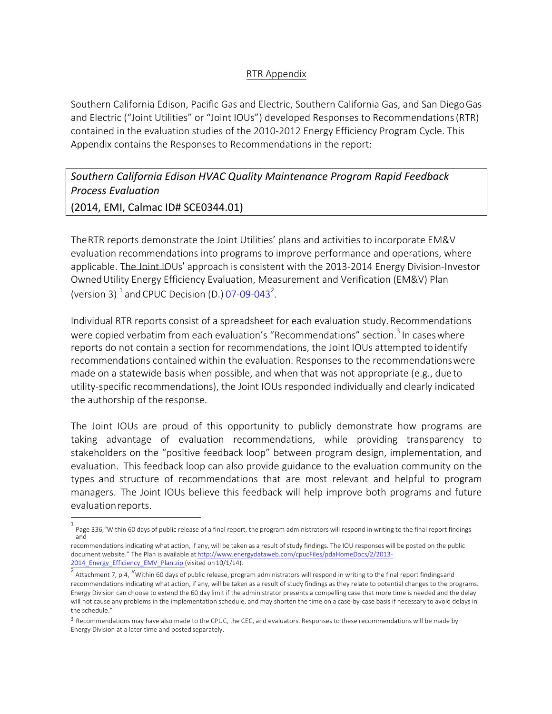## RTR Appendix

Southern California Edison, Pacific Gas and Electric, Southern California Gas, and San DiegoGas and Electric ("Joint Utilities" or "Joint IOUs") developed Responses to Recommendations(RTR) contained in the evaluation studies of the 2010-2012 Energy Efficiency Program Cycle. This Appendix contains the Responses to Recommendations in the report:

# Southern California Edison HVAC Quality Maintenance Program Rapid Feedback *Process Evaluation*

(2014, EMI, Calmac ID# SCE0344.01)

TheRTR reports demonstrate the Joint Utilities' plans and activities to incorporate EM&V evaluation recommendations into programs to improve performance and operations, where applicable. The Joint IOUs' approach is consistent with the 2013-2014 Energy Division-Investor OwnedUtility Energy Efficiency Evaluation, Measurement and Verification (EM&V) Plan (version 3)  $^1$  and CPUC Decision (D.) 07-09-043<sup>2</sup>.

Individual RTR reports consist of a spreadsheet for each evaluation study.Recommendations were copied verbatim from each evaluation's "Recommendations" section.<sup>3</sup> In cases where reports do not contain a section for recommendations, the Joint IOUs attempted to identify recommendations contained within the evaluation. Responses to the recommendationswere made on a statewide basis when possible, and when that was not appropriate (e.g., dueto utility-specific recommendations), the Joint IOUs responded individually and clearly indicated the authorship of the response.

The Joint IOUs are proud of this opportunity to publicly demonstrate how programs are taking advantage of evaluation recommendations, while providing transparency to stakeholders on the "positive feedback loop" between program design, implementation, and evaluation. This feedback loop can also provide guidance to the evaluation community on the types and structure of recommendations that are most relevant and helpful to program managers. The Joint IOUs believe this feedback will help improve both programs and future evaluationreports.

<sup>1</sup> Page 336,"Within 60 days of public release of a final report, the program administrators will respond in writing to the final report findings and

recommendations indicating what action, if any, will be taken as a result of study findings. The IOU responses will be posted on the public document website." The Plan is available at http://www.energydataweb.com/cpucFiles/pdaHomeDocs/2/2013- 2014\_Energy\_Efficiency\_EMV\_Plan.zip (visited on 10/1/14).

 $^2$  Attachment 7, p.4, "Within 60 days of public release, program administrators will respond in writing to the final report findingsand recommendations indicating what action, if any, will be taken as a result of study findings as they relate to potential changes to the programs. Energy Division can choose to extend the 60 day limit if the administrator presents a compelling case that more time is needed and the delay will not cause any problems in the implementation schedule, and may shorten the time on a case-by-case basis if necessary to avoid delays in the schedule."

<sup>3</sup> Recommendations may have also made to the CPUC, the CEC, and evaluators. Responses to these recommendations will be made by Energy Division at a later time and posted separately.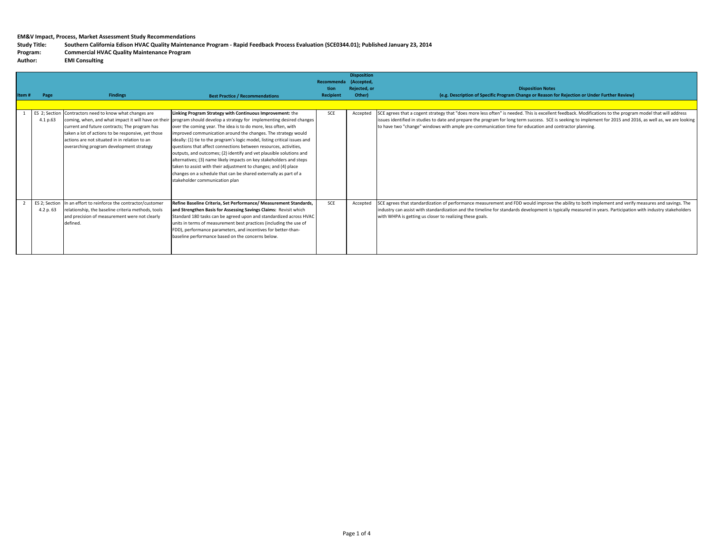Study Title: Southern California Edison HVAC Quality Maintenance Program - Rapid Feedback Process Evaluation (SCE0344.01); Published January 23, 2014

### **Program: Commercial HVAC Quality Maintenance Program**

 $\overline{u}$ **Author: EMI Consulting** 

| Item# | Page                       | <b>Findings</b>                                                                                                                                                                                                                               | <b>Best Practice / Recommendations</b>                                                                                                                                                                                                                                                                                                                                                                                                                                                                                                                                                                                                                                                                                                                                                          | Recommenda<br>tion<br>Recipient | <b>Disposition</b><br>(Accepted,<br>Rejected, or<br>Other) | <b>Disposition Notes</b><br>(e.g. Description of Specific Program Change or Reason for Rejection or Under Further Review)                                                                                                                                                                                                                                                                                                           |
|-------|----------------------------|-----------------------------------------------------------------------------------------------------------------------------------------------------------------------------------------------------------------------------------------------|-------------------------------------------------------------------------------------------------------------------------------------------------------------------------------------------------------------------------------------------------------------------------------------------------------------------------------------------------------------------------------------------------------------------------------------------------------------------------------------------------------------------------------------------------------------------------------------------------------------------------------------------------------------------------------------------------------------------------------------------------------------------------------------------------|---------------------------------|------------------------------------------------------------|-------------------------------------------------------------------------------------------------------------------------------------------------------------------------------------------------------------------------------------------------------------------------------------------------------------------------------------------------------------------------------------------------------------------------------------|
|       | ES 2; Section<br>4.1 p.63  | Contractors need to know what changes are<br>current and future contracts; The program has<br>taken a lot of actions to be responsive, yet those<br>actions are not situated in in relation to an<br>overarching program development strategy | Linking Program Strategy with Continuous Improvement: the<br>coming, when, and what impact it will have on their program should develop a strategy for implementing desired changes<br>over the coming year. The idea is to do more, less often, with<br>improved communication around the changes. The strategy would<br>ideally: (1) tie to the program's logic model, listing critical issues and<br>questions that affect connections between resources, activities,<br>outputs, and outcomes; (2) identify and vet plausible solutions and<br>alternatives; (3) name likely impacts on key stakeholders and steps<br>taken to assist with their adjustment to changes; and (4) place<br>changes on a schedule that can be shared externally as part of a<br>stakeholder communication plan | SCE                             | Accepted                                                   | SCE agrees that a cogent strategy that "does more less often" is needed. This is excellent feedback. Modifications to the program model that will address<br>issues identified in studies to date and prepare the program for long term success. SCE is seeking to implement for 2015 and 2016, as well as, we are looking<br>to have two "change" windows with ample pre-communication time for education and contractor planning. |
|       | ES 2; Section<br>4.2 p. 63 | In an effort to reinforce the contractor/customer<br>relationship, the baseline criteria methods, tools<br>and precision of measurement were not clearly<br>defined.                                                                          | Refine Baseline Criteria. Set Performance/ Measurement Standards.<br>and Strengthen Basis for Assessing Savings Claims: Revisit which<br>Standard 180 tasks can be agreed upon and standardized across HVAC<br>units in terms of measurement best practices (including the use of<br>FDD), performance parameters, and incentives for better-than-<br>baseline performance based on the concerns below.                                                                                                                                                                                                                                                                                                                                                                                         | SCE                             | Accepted                                                   | SCE agrees that standardization of performance measurement and FDD would improve the ability to both implement and verify measures and savings. The<br>industry can assist with standardization and the timeline for standards development is typically measured in years. Participation with industry stakeholders<br>with WHPA is getting us closer to realizing these goals.                                                     |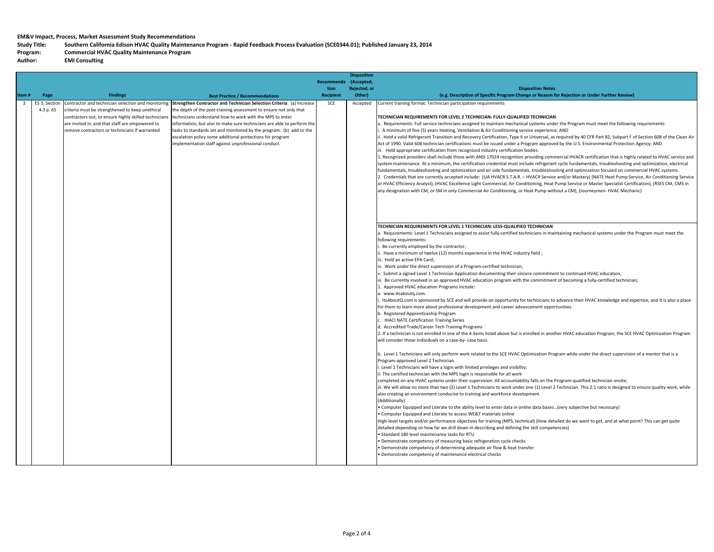Study Title: Southern California Edison HVAC Quality Maintenance Program - Rapid Feedback Process Evaluation (SCE0344.01); Published January 23, 2014

#### **Program: Commercial HVAC Quality Maintenance Program**

 $Author:$ **EMI Consulting** 

|                         |                            |                                                                                                                                                                                                           |                                                                                                                                                                                                                                                                                                                                                                                                                                                                                                                                    | <b>Recommenda</b> | <b>Disposition</b><br>(Accepted, |                                                                                                                                                                                                                                                                                                                                                                                                                                                                                                                                                                                                                                                                                                                                                                                                                                                                                                                                                                                                                                                                                                                                                                                                                                                                                                                                                                                                                                                                                                                                                                                                                                                                                                                                                                                                                                                                                                                                                                                                                                                                                                                                                                                                                                                                                                                                                                                                                                                                                                                                                                                                                                                                                                                                                                                                                                                                                                                                                                 |
|-------------------------|----------------------------|-----------------------------------------------------------------------------------------------------------------------------------------------------------------------------------------------------------|------------------------------------------------------------------------------------------------------------------------------------------------------------------------------------------------------------------------------------------------------------------------------------------------------------------------------------------------------------------------------------------------------------------------------------------------------------------------------------------------------------------------------------|-------------------|----------------------------------|-----------------------------------------------------------------------------------------------------------------------------------------------------------------------------------------------------------------------------------------------------------------------------------------------------------------------------------------------------------------------------------------------------------------------------------------------------------------------------------------------------------------------------------------------------------------------------------------------------------------------------------------------------------------------------------------------------------------------------------------------------------------------------------------------------------------------------------------------------------------------------------------------------------------------------------------------------------------------------------------------------------------------------------------------------------------------------------------------------------------------------------------------------------------------------------------------------------------------------------------------------------------------------------------------------------------------------------------------------------------------------------------------------------------------------------------------------------------------------------------------------------------------------------------------------------------------------------------------------------------------------------------------------------------------------------------------------------------------------------------------------------------------------------------------------------------------------------------------------------------------------------------------------------------------------------------------------------------------------------------------------------------------------------------------------------------------------------------------------------------------------------------------------------------------------------------------------------------------------------------------------------------------------------------------------------------------------------------------------------------------------------------------------------------------------------------------------------------------------------------------------------------------------------------------------------------------------------------------------------------------------------------------------------------------------------------------------------------------------------------------------------------------------------------------------------------------------------------------------------------------------------------------------------------------------------------------------------------|
|                         |                            |                                                                                                                                                                                                           |                                                                                                                                                                                                                                                                                                                                                                                                                                                                                                                                    | tion              | Rejected, or                     | <b>Disposition Notes</b>                                                                                                                                                                                                                                                                                                                                                                                                                                                                                                                                                                                                                                                                                                                                                                                                                                                                                                                                                                                                                                                                                                                                                                                                                                                                                                                                                                                                                                                                                                                                                                                                                                                                                                                                                                                                                                                                                                                                                                                                                                                                                                                                                                                                                                                                                                                                                                                                                                                                                                                                                                                                                                                                                                                                                                                                                                                                                                                                        |
| Item#                   | Page                       | <b>Findings</b>                                                                                                                                                                                           | <b>Best Practice / Recommendations</b>                                                                                                                                                                                                                                                                                                                                                                                                                                                                                             | <b>Recipient</b>  | Other)                           | (e.g. Description of Specific Program Change or Reason for Rejection or Under Further Review)                                                                                                                                                                                                                                                                                                                                                                                                                                                                                                                                                                                                                                                                                                                                                                                                                                                                                                                                                                                                                                                                                                                                                                                                                                                                                                                                                                                                                                                                                                                                                                                                                                                                                                                                                                                                                                                                                                                                                                                                                                                                                                                                                                                                                                                                                                                                                                                                                                                                                                                                                                                                                                                                                                                                                                                                                                                                   |
| $\overline{\mathbf{3}}$ | ES 3; Section<br>4.3 p. 65 | Contractor and technician selection and monitoring<br>riteria must be strengthened to keep unethical<br>are invited in, and that staff are empowered to<br>remove contractors or technicians if warranted | Strengthen Contractor and Technician Selection Criteria: (a) Increase<br>the depth of the post-training assessment to ensure not only that<br>contractors out, to ensure highly skilled technicians technicians understand how to work with the MPS to enter<br>information, but also to make sure technicians are able to perform the<br>tasks to standards set and monitored by the program. (b) add to the<br>escalation policy some additional protections for program<br>implementation staff against unprofessional conduct. | SCE               | Accepted                         | Current training format: Technician participation requirements<br><b>FECHNICIAN REQUIREMENTS FOR LEVEL 2 TECHNICIAN: FULLY-QUALIFIED TECHNICIAN</b><br>. Requirements: Full service technicians assigned to maintain mechanical systems under the Program must meet the following requirements:<br>. A minimum of five (5) years Heating, Ventilation & Air Conditioning service experience; AND<br>i. Hold a valid Refrigerant Transition and Recovery Certification, Type II or Universal, as required by 40 CFR Part 82, Subpart F of Section 608 of the Clean Air<br>Act of 1990. Valid 608 technician certifications must be issued under a Program approved by the U.S. Environmental Protection Agency; AND<br>ii. Hold appropriate certification from recognized industry certification bodies.<br>Recognized providers shall include those with ANSI 17024 recognition providing commercial HVACR certification that is highly related to HVAC service and<br>system maintenance. At a minimum, the certification credential must include refrigerant cycle fundamentals, troubleshooting and optimization, electrical<br>fundamentals, troubleshooting and optimization and air side fundamentals, troubleshooting and optimization focused on commercial HVAC systems.<br>2. Credentials that are currently accepted include: (UA HVACR S.T.A.R. - HVACR Service and/or Mastery) (NATE Heat Pump Service, Air Conditioning Service<br>or HVAC Efficiency Analyst), (HVAC Excellence Light Commercial, Air Conditioning, Heat Pump Service or Master Specialist Certification), (RSES CM, CMS in<br>any designation with CM, or SM in only Commercial Air Conditioning, or Heat Pump without a CM), (Journeymen-HVAC Mechanic)                                                                                                                                                                                                                                                                                                                                                                                                                                                                                                                                                                                                                                                                                                                                                                                                                                                                                                                                                                                                                                                                                                                                                                                                                        |
|                         |                            |                                                                                                                                                                                                           |                                                                                                                                                                                                                                                                                                                                                                                                                                                                                                                                    |                   |                                  | TECHNICIAN REQUIREMENTS FOR LEVEL 1 TECHNICIAN: LESS-QUALIFIED TECHNICIAN<br>a. Requirements: Level 1 Technicians assigned to assist fully-certified technicians in maintaining mechanical systems under the Program must meet the<br>following requirements:<br>Be currently employed by the contractor;<br>i. Have a minimum of twelve (12) months experience in the HVAC industry field;<br>iii. Hold an active EPA Card;<br>iv. Work under the direct supervision of a Program-certified technician;<br>. Submit a signed Level 1 Technician Application documenting their sincere commitment to continued HVAC education;<br>vi. Be currently involved in an approved HVAC education program with the commitment of becoming a fully-certified technician;<br>. Approved HVAC education Programs include:<br>a. www.itsaboutq.com.<br>ItsAboutQ.com is sponsored by SCE and will provide an opportunity for technicians to advance their HVAC knowledge and expertise, and it is also a place<br>for them to learn more about professional development and career advancement opportunities.<br>b. Registered Apprenticeship Program<br>. IHACI NATE Certification Training Series<br>d. Accredited Trade/Career Tech Training Programs<br>2. If a technician is not enrolled in one of the 4 items listed above but is enrolled in another HVAC education Program, the SCE HVAC Optimization Program<br>will consider those individuals on a case-by- case basis.<br>b. Level 1 Technicians will only perform work related to the SCE HVAC Optimization Program while under the direct supervision of a mentor that is a<br>Program-approved Level 2 Technician.<br>. Level 1 Technicians will have a login with limited privileges and visibility;<br>i. The certified technician with the MPS login is responsible for all work<br>completed on any HVAC systems under their supervision. All accountability falls on the Program-qualified technician onsite;<br>iii. We will allow no more than two (2) Level 1 Technicians to work under one (1) Level 2 Technician. This 2:1 ratio is designed to ensure quality work, while<br>also creating an environment conducive to training and workforce development.<br>(Additionally)<br>Computer Equipped and Literate to the ability level to enter data in online data bases(very subjective but necessary)<br>Computer Equipped and Literate to access WE&T materials online<br>High-level targets and/or performance objectives for training (MPS, technical) (How detailed do we want to get, and at what point? This can get quite<br>detailed depending on how far we drill down in describing and defining the skill competencies)<br>Standard 180 level maintenance tasks for RTU<br>Demonstrate competency of measuring basic refrigeration cycle checks<br>Demonstrate competency of determining adequate air flow & heat transfer<br>Demonstrate competency of maintenance electrical checks |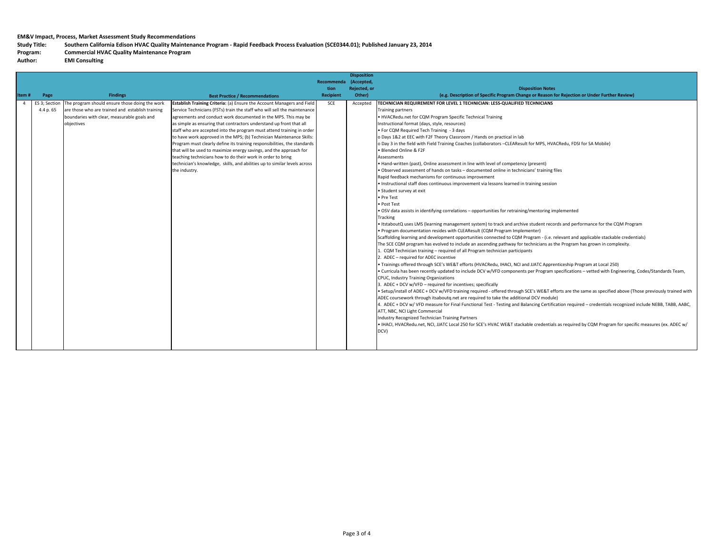Study Title: Southern California Edison HVAC Quality Maintenance Program - Rapid Feedback Process Evaluation (SCE0344.01); Published January 23, 2014

#### **Program: Commercial HVAC Quality Maintenance Program**

 $Author:$ **EMI** Consulting

|                            |                                                                                                                                                                 |                                                                                                                                                                                                                                                                                                                                                                                                                                                                                                                                                                                                                                                                                                                                                             | <b>Recommenda</b> | (Accepted,   |                                                                                                                                                                                                                                                                                                                                                                                                                                                                                                                                                                                                                                                                                                                                                                                                                                                                                                                                                                                                                                                                                                                                                                                                                                                                                                                                                                                                                                                                                                                                                                                                                                                                                                                                                                                                                                                                                                                                                                                                                                                                                                                                                                                                                                                                                                                                                                                                                                                                                                                                                                                                                                                                                               |
|----------------------------|-----------------------------------------------------------------------------------------------------------------------------------------------------------------|-------------------------------------------------------------------------------------------------------------------------------------------------------------------------------------------------------------------------------------------------------------------------------------------------------------------------------------------------------------------------------------------------------------------------------------------------------------------------------------------------------------------------------------------------------------------------------------------------------------------------------------------------------------------------------------------------------------------------------------------------------------|-------------------|--------------|-----------------------------------------------------------------------------------------------------------------------------------------------------------------------------------------------------------------------------------------------------------------------------------------------------------------------------------------------------------------------------------------------------------------------------------------------------------------------------------------------------------------------------------------------------------------------------------------------------------------------------------------------------------------------------------------------------------------------------------------------------------------------------------------------------------------------------------------------------------------------------------------------------------------------------------------------------------------------------------------------------------------------------------------------------------------------------------------------------------------------------------------------------------------------------------------------------------------------------------------------------------------------------------------------------------------------------------------------------------------------------------------------------------------------------------------------------------------------------------------------------------------------------------------------------------------------------------------------------------------------------------------------------------------------------------------------------------------------------------------------------------------------------------------------------------------------------------------------------------------------------------------------------------------------------------------------------------------------------------------------------------------------------------------------------------------------------------------------------------------------------------------------------------------------------------------------------------------------------------------------------------------------------------------------------------------------------------------------------------------------------------------------------------------------------------------------------------------------------------------------------------------------------------------------------------------------------------------------------------------------------------------------------------------------------------------------|
|                            |                                                                                                                                                                 |                                                                                                                                                                                                                                                                                                                                                                                                                                                                                                                                                                                                                                                                                                                                                             | tion.             | Rejected, or | <b>Disposition Notes</b>                                                                                                                                                                                                                                                                                                                                                                                                                                                                                                                                                                                                                                                                                                                                                                                                                                                                                                                                                                                                                                                                                                                                                                                                                                                                                                                                                                                                                                                                                                                                                                                                                                                                                                                                                                                                                                                                                                                                                                                                                                                                                                                                                                                                                                                                                                                                                                                                                                                                                                                                                                                                                                                                      |
| Page                       | <b>Findings</b>                                                                                                                                                 | <b>Best Practice / Recommendations</b>                                                                                                                                                                                                                                                                                                                                                                                                                                                                                                                                                                                                                                                                                                                      | <b>Recipient</b>  | Other)       | (e.g. Description of Specific Program Change or Reason for Rejection or Under Further Review)                                                                                                                                                                                                                                                                                                                                                                                                                                                                                                                                                                                                                                                                                                                                                                                                                                                                                                                                                                                                                                                                                                                                                                                                                                                                                                                                                                                                                                                                                                                                                                                                                                                                                                                                                                                                                                                                                                                                                                                                                                                                                                                                                                                                                                                                                                                                                                                                                                                                                                                                                                                                 |
| ES 3; Section<br>4.4 p. 65 | The program should ensure those doing the work<br>are those who are trained and establish training<br>boundaries with clear, measurable goals and<br>objectives | Establish Training Criteria: (a) Ensure the Account Managers and Field<br>Service Technicians (FSTs) train the staff who will sell the maintenance<br>agreements and conduct work documented in the MPS. This may be<br>as simple as ensuring that contractors understand up front that all<br>staff who are accepted into the program must attend training in order<br>to have work approved in the MPS; (b) Technician Maintenance Skills:<br>Program must clearly define its training responsibilities, the standards<br>that will be used to maximize energy savings, and the approach for<br>teaching technicians how to do their work in order to bring<br>technician's knowledge, skills, and abilities up to similar levels across<br>the industry. | SCE               | Accepted     | TECHNICIAN REQUIREMENT FOR LEVEL 1 TECHNICIAN: LESS-QUALIFIED TECHNICIANS<br><b>Training partners</b><br>. HVACRedu.net for CQM Program Specific Technical Training<br>Instructional format (days, style, resources)<br>. For CQM Required Tech Training - 3 days<br>o Days 1&2 at EEC with F2F Theory Classroom / Hands on practical in lab<br>o Day 3 in the field with Field Training Coaches (collaborators -CLEAResult for MPS, HVACRedu, FDSI for SA Mobile)<br>· Blended Online & F2F<br>Assessments<br>• Hand-written (past), Online assessment in line with level of competency (present)<br>. Observed assessment of hands on tasks - documented online in technicians' training files<br>Rapid feedback mechanisms for continuous improvement<br>· Instructional staff does continuous improvement via lessons learned in training session<br>• Student survey at exit<br>· Pre Test<br>· Post Test<br>. OSV data assists in identifying correlations - opportunities for retraining/mentoring implemented<br>Tracking<br>• ItstaboutQ uses LMS (learning management system) to track and archive student records and performance for the CQM Program<br>• Program documentation resides with CLEAResult (CQM Program Implementer)<br>Scaffolding learning and development opportunities connected to CQM Program - (i.e. relevant and applicable stackable credentials)<br>The SCE CQM program has evolved to include an ascending pathway for technicians as the Program has grown in complexity.<br>CQM Technician training - required of all Program technician participants<br>. ADEC - required for ADEC incentive<br>. Trainings offered through SCE's WE&T efforts (HVACRedu, IHACI, NCI and JJATC Apprenticeship Program at Local 250)<br>. Curricula has been recently updated to include DCV w/VFD components per Program specifications - vetted with Engineering, Codes/Standards Team,<br>CPUC, Industry Training Organizations<br>3. ADEC + DCV w/VFD - required for incentives; specifically<br>. Setup/install of ADEC + DCV w/VFD training required - offered through SCE's WE&T efforts are the same as specified above (Those previously trained with<br>ADEC coursework through itsaboutg.net are required to take the additional DCV module)<br>4. ADEC + DCV w/VFD measure for Final Functional Test - Testing and Balancing Certification required – credentials recognized include NEBB, TABB, AABC,<br>ATT, NBC, NCI Light Commercial<br>Industry Recognized Technician Training Partners<br>. IHACI, HVACRedu.net, NCI, JJATC Local 250 for SCE's HVAC WE&T stackable credentials as required by CQM Program for specific measures (ex. ADEC w/<br>DCV) |
|                            | Item#                                                                                                                                                           |                                                                                                                                                                                                                                                                                                                                                                                                                                                                                                                                                                                                                                                                                                                                                             |                   |              |                                                                                                                                                                                                                                                                                                                                                                                                                                                                                                                                                                                                                                                                                                                                                                                                                                                                                                                                                                                                                                                                                                                                                                                                                                                                                                                                                                                                                                                                                                                                                                                                                                                                                                                                                                                                                                                                                                                                                                                                                                                                                                                                                                                                                                                                                                                                                                                                                                                                                                                                                                                                                                                                                               |